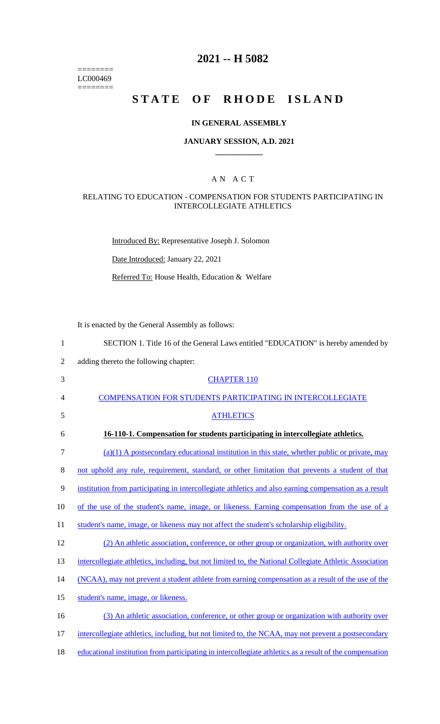======== LC000469  $=$ 

# **2021 -- H 5082**

# **STATE OF RHODE ISLAND**

#### **IN GENERAL ASSEMBLY**

#### **JANUARY SESSION, A.D. 2021 \_\_\_\_\_\_\_\_\_\_\_\_**

### A N A C T

#### RELATING TO EDUCATION - COMPENSATION FOR STUDENTS PARTICIPATING IN INTERCOLLEGIATE ATHLETICS

Introduced By: Representative Joseph J. Solomon

Date Introduced: January 22, 2021

Referred To: House Health, Education & Welfare

It is enacted by the General Assembly as follows:

| $\mathbf{1}$   | SECTION 1. Title 16 of the General Laws entitled "EDUCATION" is hereby amended by                       |
|----------------|---------------------------------------------------------------------------------------------------------|
| $\overline{2}$ | adding thereto the following chapter:                                                                   |
| 3              | <b>CHAPTER 110</b>                                                                                      |
| 4              | <b>COMPENSATION FOR STUDENTS PARTICIPATING IN INTERCOLLEGIATE</b>                                       |
| 5              | <b>ATHLETICS</b>                                                                                        |
| 6              | 16-110-1. Compensation for students participating in intercollegiate athletics.                         |
| 7              | $(a)(1)$ A postsecondary educational institution in this state, whether public or private, may          |
| 8              | not uphold any rule, requirement, standard, or other limitation that prevents a student of that         |
| 9              | institution from participating in intercollegiate athletics and also earning compensation as a result   |
| 10             | of the use of the student's name, image, or likeness. Earning compensation from the use of a            |
| 11             | student's name, image, or likeness may not affect the student's scholarship eligibility.                |
| 12             | (2) An athletic association, conference, or other group or organization, with authority over            |
| 13             | intercollegiate athletics, including, but not limited to, the National Collegiate Athletic Association  |
| 14             | (NCAA), may not prevent a student athlete from earning compensation as a result of the use of the       |
| 15             | student's name, image, or likeness.                                                                     |
| 16             | (3) An athletic association, conference, or other group or organization with authority over             |
| 17             | intercollegiate athletics, including, but not limited to, the NCAA, may not prevent a postsecondary     |
| 18             | educational institution from participating in intercollegiate athletics as a result of the compensation |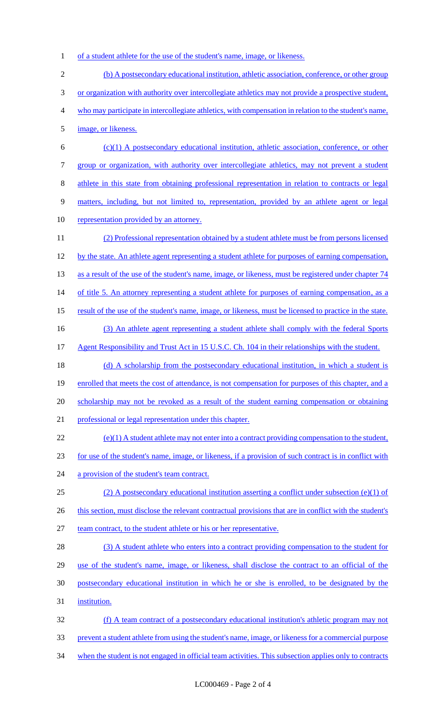1 of a student athlete for the use of the student's name, image, or likeness.

| $\mathfrak{2}$ | (b) A postsecondary educational institution, athletic association, conference, or other group           |
|----------------|---------------------------------------------------------------------------------------------------------|
| 3              | or organization with authority over intercollegiate athletics may not provide a prospective student,    |
| 4              | who may participate in intercollegiate athletics, with compensation in relation to the student's name,  |
| 5              | image, or likeness.                                                                                     |
| 6              | $(c)(1)$ A postsecondary educational institution, athletic association, conference, or other            |
| 7              | group or organization, with authority over intercollegiate athletics, may not prevent a student         |
| $8\,$          | athlete in this state from obtaining professional representation in relation to contracts or legal      |
| $\mathbf{9}$   | matters, including, but not limited to, representation, provided by an athlete agent or legal           |
| 10             | representation provided by an attorney.                                                                 |
| 11             | (2) Professional representation obtained by a student athlete must be from persons licensed             |
| 12             | by the state. An athlete agent representing a student athlete for purposes of earning compensation,     |
| 13             | as a result of the use of the student's name, image, or likeness, must be registered under chapter 74   |
| 14             | of title 5. An attorney representing a student athlete for purposes of earning compensation, as a       |
| 15             | result of the use of the student's name, image, or likeness, must be licensed to practice in the state. |
| 16             | (3) An athlete agent representing a student athlete shall comply with the federal Sports                |
| 17             | Agent Responsibility and Trust Act in 15 U.S.C. Ch. 104 in their relationships with the student.        |
| 18             | (d) A scholarship from the postsecondary educational institution, in which a student is                 |
| 19             | enrolled that meets the cost of attendance, is not compensation for purposes of this chapter, and a     |
| 20             | scholarship may not be revoked as a result of the student earning compensation or obtaining             |
| 21             | professional or legal representation under this chapter.                                                |
| 22             | $(e)(1)$ A student athlete may not enter into a contract providing compensation to the student,         |
| 23             | for use of the student's name, image, or likeness, if a provision of such contract is in conflict with  |
| 24             | a provision of the student's team contract.                                                             |
| 25             | (2) A postsecondary educational institution asserting a conflict under subsection (e)(1) of             |
| 26             | this section, must disclose the relevant contractual provisions that are in conflict with the student's |
| 27             | team contract, to the student athlete or his or her representative.                                     |
| 28             | (3) A student athlete who enters into a contract providing compensation to the student for              |
| 29             | use of the student's name, image, or likeness, shall disclose the contract to an official of the        |
| 30             | postsecondary educational institution in which he or she is enrolled, to be designated by the           |
| 31             | institution.                                                                                            |
| 32             | (f) A team contract of a postsecondary educational institution's athletic program may not               |
| 33             | prevent a student athlete from using the student's name, image, or likeness for a commercial purpose    |
| 34             | when the student is not engaged in official team activities. This subsection applies only to contracts  |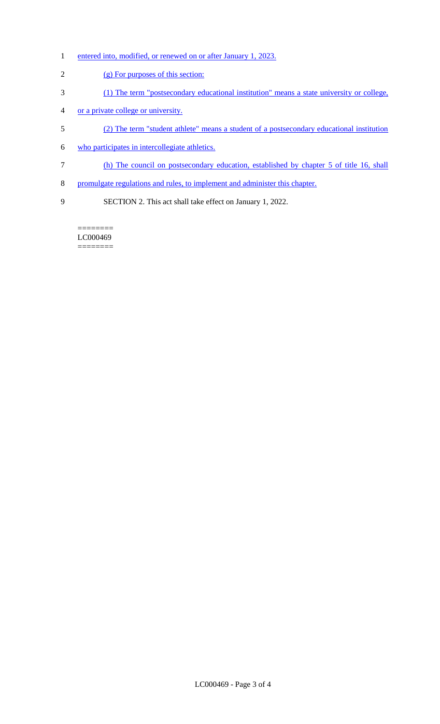- 1 entered into, modified, or renewed on or after January 1, 2023.
- (g) For purposes of this section:
- (1) The term "postsecondary educational institution" means a state university or college,
- or a private college or university.
- (2) The term "student athlete" means a student of a postsecondary educational institution
- who participates in intercollegiate athletics.
- (h) The council on postsecondary education, established by chapter 5 of title 16, shall
- promulgate regulations and rules, to implement and administer this chapter.
- SECTION 2. This act shall take effect on January 1, 2022.

======== LC000469 ========